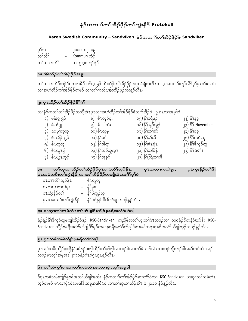# နံဉ်ကတၢ<sup>ို</sup>တ<sup>ှ</sup>အိဉ်ဖိုဉ်တ<sup>ှ</sup>ကွဲးနီဉ် Protokoll

## Karen Swedish Community – Sandviken နံဉ်ကတၫ်တၫ်အိဉ်ဖိုဉ်ဖဲ Sandviken

| မှ1်နံ1   | ၂၀၁၁–၀၂–၁၉      |
|-----------|-----------------|
| တ႑်တိ့႕   | Kommun ဟံဉ်     |
| တ်ရဆာကတိ် | ဟါ ၅း၃၀ နဉ်ရံဉ် |

### ၁။ အိုးထိံဉိတ႑်အိဉ်ဖိုဉ်အမူး

တၫ်ဆၢကတိဉ်ဘဉ်ဒီး ကရၢခိဉ် မန်းဝ့္ရရွာ် အိးထိဉ်တၫ်အိဉ်ဖှိဉ်အမူး ခီဖျိကတိၤဆၢဂ္ၤဆၢ၀ါဒီးတူၢ်လိ၁်မု၁်ပှၤကိးဂၤဒဲး လၢအဟဲထိဉ်တၫ်အိဉ်ဖိုဉ်တဖဉ် လၢတၫ်ကတိၤအိးထိဉ်ဖုဉ်ကိႏန္ဉ်လီၤ.

# ၂။ ပုၤထီဉ်တ႑်အိဉ်ဖိုဉ်နိ<sup>၎</sup>င်္ဂ

```
လၢနံ့ဉ်ကတၢ်တၢ်အိဉ်ဖိုဉ်တဘျီအံၤပုၤလၢအဟဲထိဉ်တၢ်အိဉ်ဖိုဉ်ခဲလက်အိဉ်ဝဲ ၂၇ ဂၤလၢအမ္၂်ဝဲ
```

|                              | .                             |                                |                                          |
|------------------------------|-------------------------------|--------------------------------|------------------------------------------|
| ၁) မန်း၀့္ရရွဉ်              | ၈) စီၤတူဉ်ပ္း                 | ၁၅) နိ <sup>5</sup> မရံနဉ်     | ၂၂) နိ <sup>5</sup> ဒ္ဒဒ္ဒ               |
| ၂) စီၤၒိပ္ျ                  | ၉) စီၤဒါဆံး                   | ၁၆) နိ <sup>၎</sup> ္နရှဉ်အူဉ် | ၂၃) နိ <sup>၎</sup> November             |
| ၃) သးပု <sup>ို</sup> လဲ့ဘဲ့ | ၁၀) စီၤလ္နမ                   | ၁၇) နိ <sup>5</sup> ုက်မဲ      | ၂၄) နိ <sup>5</sup> ုခု                  |
| ၄) စီၤအီဉ်လွှဉ်              | ၁၁) နိ <sup>5</sup> မံမံ      | ၁၈) နိ <sup>5ု</sup> ယိယိ      | ၂၅) နိ <sup>5</sup> ကပီ႑မှ               |
| ၅) စီၤတူတူ                   | ၁၂) နိ <sup>5</sup> ဒါထူ      | ၁၉) နိ့်าမဲ zရံ z              | <sub>၂</sub> ၆) နိ <sup>၎</sup> ဖီကူဉ်ထူ |
| ၆) စီၤလူၤရုံ                 | ၁၃) နိ <sup>5</sup> အဲဉ်သူလ္1 | ၂၀) နိ <sup>5</sup> ဟါမိနံ     | ၂၇) နိ <sup>ဌ</sup> Sofia                |
| ၇) စီၤယွၤဟ့ဉ်                | ၁၄) နိ <sup>5</sup> အ့ခုဉ်    | ၂၁) နိ <sup>5</sup> ုထြဲကၢးဖီ  |                                          |
|                              |                               |                                |                                          |

| QII                          | တၢိဃုထၢထိဉ်တၢ်အိဉ်ဖိုဉ်ပု1ပၢၤလိၢ်ဆူဉ်နီ1,<br>ပုၤသမံသမိးတၫ်ကွဲးနိဂ်ို လၢတၫ်အိဂ်ဖိုဂ်တဘိုအံၤအဂိၢ်မှၢ်ဝဲ | ုပု1ကယ႑ကယဲမှုး, | ပု1ကွဲးနိ5်တ <sup>5</sup> ဒီး |
|------------------------------|-------------------------------------------------------------------------------------------------------|-----------------|-------------------------------|
| ပုၤပၢၤလိ်ၢိဆ္ဉ်နီၤ – စီၤတူတူ |                                                                                                       |                 |                               |
| ပုၤကယၢကယဲမူး                 | – နိ <sup>1</sup> ခုခု                                                                                |                 |                               |
| ပုၤကွဲးနိဉ်တ႑်               | – နိ <sup>5</sup> ဖိက္ပဉ်ထု                                                                           |                 |                               |

```
ာ = စ<sub>ါး၊</sub><br>ပုၤသမီးသမိးတ<sup>ြ</sup>ကွဲးနိဉ် –   နိ1မရံနဉ် ဒီးစီၤဖိပ္စု တဖဉ်န္ဉာ်လီၤ.
```

```
၄။ ပၫဆုၫတ႑်ကမံတံ႑တ႑်ဟ်ဖျါဒီးကျိဉ်စ့စရီအလံာ်ဟ်ဖျါ
```
နဲဉ်ရွဲဉ်နိ<sup>၎</sup>ဖီကူဉ်ထူဖးဖျါထိဉ်ဝဲဒဉ် KSC-Sandviken ကညီဖိအတ<sup>ြ</sup>ဟူးတ<sup>ြ</sup>ဂဲၤတဖဉ်လ႑၂၀၁၀နံဉ်ဒီတနံဉ်ဃု၁်ဒီး KSC-ာ်။ ထိုပါး<br>Sandviken ကျဉ်စဲ့စရီအလံာ်ဟ်ဖျါပိဉ်မှဉ်ကရ႑စ္စစရီအလံာ်ဟ်ဖျါဒီးသးစဉ်ကရ႑စ္စစရီအလံာ်ဟ်ဖျါသှဉ်တဖဉ်နှဉ်လီၤ.

## ၅။ ပု1သမံသမိးကျိဉ်စ့စရိတၤ်တ်ဖျါ

ပု1သမံသမိးကျိဉ်စ့စရီနိ<sup>5</sup>မရံနဉ်ဖးဖျါထိဉ်တ<sup>5</sup>ပာ်ဖျါလၢထံဉ်ဝဲလၢတ<sup>5</sup>ခဲလက်လဲ1သးဘဉ်ဘျိုးဘဉ်ဒါအဃိကမံတံ1သှဉ် တဖဉ်မၤတ့ၢ်အမှုအဒါ၂၀၁၀နံ့ဉ်ဝံၤဝဲဂူၤဂူၤန္ ဉ်လီၤ.

```
၆။ တ<sup>5</sup>သံကွ<sup>5</sup>ပၫဆၢတ<sup>5</sup>ကမံတံ1မ1လၫပှဲ1တ့<sup>5</sup>အမူဒါ
```
ဒ်ပု1သမံသမိးကျိဉ်စုစရီအတ<sup>5</sup>ုဟ်ဖျါအသိး နံဉ်ကတ<sup>ှ</sup>ာ်တ<sup>5</sup>အိဉ်ဖိုဉ်ဆၢတဲာ်ဝဲလၢ KSC-Sandviken ပၢဆု1တ<sup>5</sup>ုကမံတံ1 သုဉ်တဖဉ် မၤလၢပုံၤဝဲအမူဒါဒီးအမူအဒါဝံၤဝဲ လၢတၢ်ဃုထၢထိဉ်အီၤ ဖဲ ၂၀၁၀ နံဉ်နှဉ်လီၤ.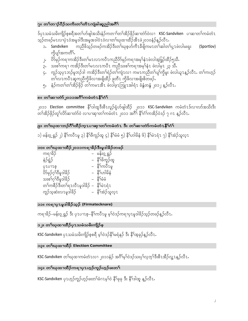## ၇။ တၫ်တၫဉ်ပီဉ်သကိႏတ႑်တိ႑ကျဲခါဆူညါအဂိ်ၢ်

ဒ်ပု1သမံသမိးကျိဉ်စ့စရီအတ႑်ဟ်ဖျါအသိးနံဉ်ကတ႑ာ်တ႑်အိဉ်ဖိုဉ်ဆ႑တဲ၁်ဝဲလ႑ KSC-Sandviken ပ႑ဆ႑တ႑်ကမံတံ1 သူဉ်တဖဉ်မၤလၢပုံၤဝဲအမူဒါဒီးအမှုအဒါဝံၤဝဲလၢတၢ်ဃုထၢထိဉ်အီၤဖဲ၂၀၁၀နံဉ်န့ဉ်လီၤ

- .<br>ကညီဖိသ့ဉ်တဖဉ်ကအိဉ်ဒီးတ<sup>န်</sup>ဃုစ့ဟ်ကီၤခီဖိျကမ႗တ<sup>န်</sup>ဆါတ<sup>န်</sup>၇႗ ဖဲလါမးရှး o. Sandviken (Sportlov) ကိုပျာ်အကတိ်၊.
- ၂<sub>•</sub> ပိၥ်မုဉ်ကရၢကအိဉ်ဒီးတ<sup>ှ</sup>မၤလၤကပီၤကညီပိ၁်မုဉ်ကရၢအမှ<sup>ု</sup>နံၤဖဲလါအ့ဖြှဉ်ထိဉ်ရှသီ**.**
- ၃ႇ သးစၢ်ကရၫ ကအိဉ်ဒီးတၢ်မၤလၤကပီၤ ကညီသးစၢ်ကရၫအမှၢ်နံၤ ဖဲလါမူၤ ၂၃ သီႇ
- ှ<br>၄. ကူဉ်သ့ပုၤဘဉ်မူဘဉ်ဒါ ကအိဉ်ဒီးတ<sup>ှ</sup>ရဲဉ်တ<sup>ြ</sup>ကျဲၤလၢ ကမၤကညီတၢ်ပျၢ်ကွိမူး ဖဲလါယူၤန္ ဉ်လီၤႉ တၢ်ကဟ့ဉ် တၢိလၤကပိၤဆူကညီကိုဖိလၢအဖျိထိဉ် ၉တီၤ ကိုဖိလၢအဖျိုးစိတဖဉ်.
- ၅ နံဉ်ကတၢ်တၢ်အိဉ်ဖိုဉ် တ၊်ကမၤအီၤ ဖဲလါဖ္ၤြာူၤအါရံၤ ခံနံတနံ ၂၀၁၂ နဉ်လီၤ

## ၈။ တၫ်ဆၢတဲာ်၂၀၁၁အဂိၢိကမံတံၤနိၵ်ဂံု

၂၀၁၁ Election committee နိ<sup>ု</sup>်ဒါထူဒီးစီၤလူဉ်ရုံဟ်ဖျါထိဉ် ၂၀၁၁ KSC-Sandviken ကမံတံၤဒ်လၢလာ်အသိးဒီး တ်၊အိဉ်ဖိုဉ်တု၊်လိာ်ဆၢတဲ့ဝဲ လျပ္ပုဆု၊တု၊်ကမ္ပတ္ပံ ၂၀၁၁ အဂ်ီ၊ နီးဂံၤ်ကအိဉ်ဝဲဒဉ် ၇ ဂၤ န္ ဉ်လီၤ.

#### ၉။ တ<sup>5</sup>ဃုထၢဘဉ်ဂီ<sup>5</sup>ထိဉ်ကူၤပၢဆုၢတ<sup>5</sup>ကမံတံၤ ဒီး တ<sup>5</sup>ဆၢတဲာ်ကမံတံၤနိ်<sup>5</sup>င်္ဂ5

၁) မန်း၀့္ရရွာ် ၂) နိ<sup>5</sup>ကပီၤမူ ၃) နိ<sup>5</sup>ဖီကူဉ်ထူ ၄) နိ5်မံမံ ၅) နိ5်ဟါမိနံ ၆) နိ5်မဲၤရံၤ ၇) နိ5်အဲဉ်သူလူၤ

## ၁၀။ တ<sup>5ု</sup>ဃုထၢထိိဉ်၂၀၁၁ကရ<sup>ှ</sup>ာနိဉ်ဒီးမှုဒါနိဉ်တဖဉ်

| ကရၫခံဉဲ                                                | မန်းဝ့္ရရွဉ်              |
|--------------------------------------------------------|---------------------------|
| နဲဉ်ရွဲဉ်                                              | နိ <sup>၎</sup> ဖိကူဉ်ထူ  |
| QZOJZO                                                 | နိ <sup>5</sup> ကပီၤမှု   |
| ပိ5်မုဉ်ဂ <u>ု</u> <sup>1</sup> ဝီမူဒါခိဉ်             | နိ်္်ကါမိနံ               |
| သးစၢ်ဂုၢိဝီမှုဒါခိဉ်                                   | နိ်ုမိမိ                  |
| တၢ်ကစိဉ်ဒီးတၢ်ရၤလီၤမူဒါခိဉ် –  နိ <sup>5ု</sup> မဲၤရံၤ |                           |
| ကူဉ်သ့ဆဲးလၤမှုဒါခိဉ်                                   | နိ <sup>5</sup> အဲဉ်သူလ္1 |

## ၁၁။ ကရၫပု႑မူဒါနိဉ်သူဉ် (Firmatecknare)

ကၡာခြဉ်–မန်း၀ ရွာ် ဒီး ပု႑ပ႑ၤစ–နိၤ်ကပီ႑မူ မၢ်ဝဲဒဉ်ကၡာပု႑မူဒါခြဉ်သဉ်တဖဉ်နဉ်လီ႑.

# ၁၂။ တ<sup>ရ</sup>ယုထၢထိဉ်ပုၤသမံသမိးကျိဉ်စ့

KSC-Sandviken ပုၤသမံသမိးကျိဉ်စုစရီ မ့ါ်ဝဲဒဉ်နိုါမရံနဉ် ဒီး နိုါအ့ခုဉ်န့ဉ်လီၤ.

## ၁၃။ တ<sup>5</sup>ဃုထၢထိဉ် Election Committee

KSC-Sandviken တ<sup>ှ</sup>ုယုထၢကမံတံၤလၢ ၂၀၁၁နံဉ် အင်္ဂါမ္<sup>5</sup>ဝဲဒဉ်သးပု<sup>5</sup>လ္စာ့၁်ဒီးစီၤအီဉ်လွှၤန္ ဉ်လီၤ.

## ၁၄။ တၢိဃုထၢထိိဉ်ကရၫပုၤဟ္ဥာ်ကူဉ်ဟူဉ်ဖးတ႑်

KSC-Sandviken ပုၤဟ္ဥာ်ကူဥ်ဟ္ဥာ်ဖးတၤ်ခံဂၤမ္န္ကါဝဲ နိုၤ်ခုခု ဒီး နိုၤ်ဒါထူ န္ဥာ်လီၤ.